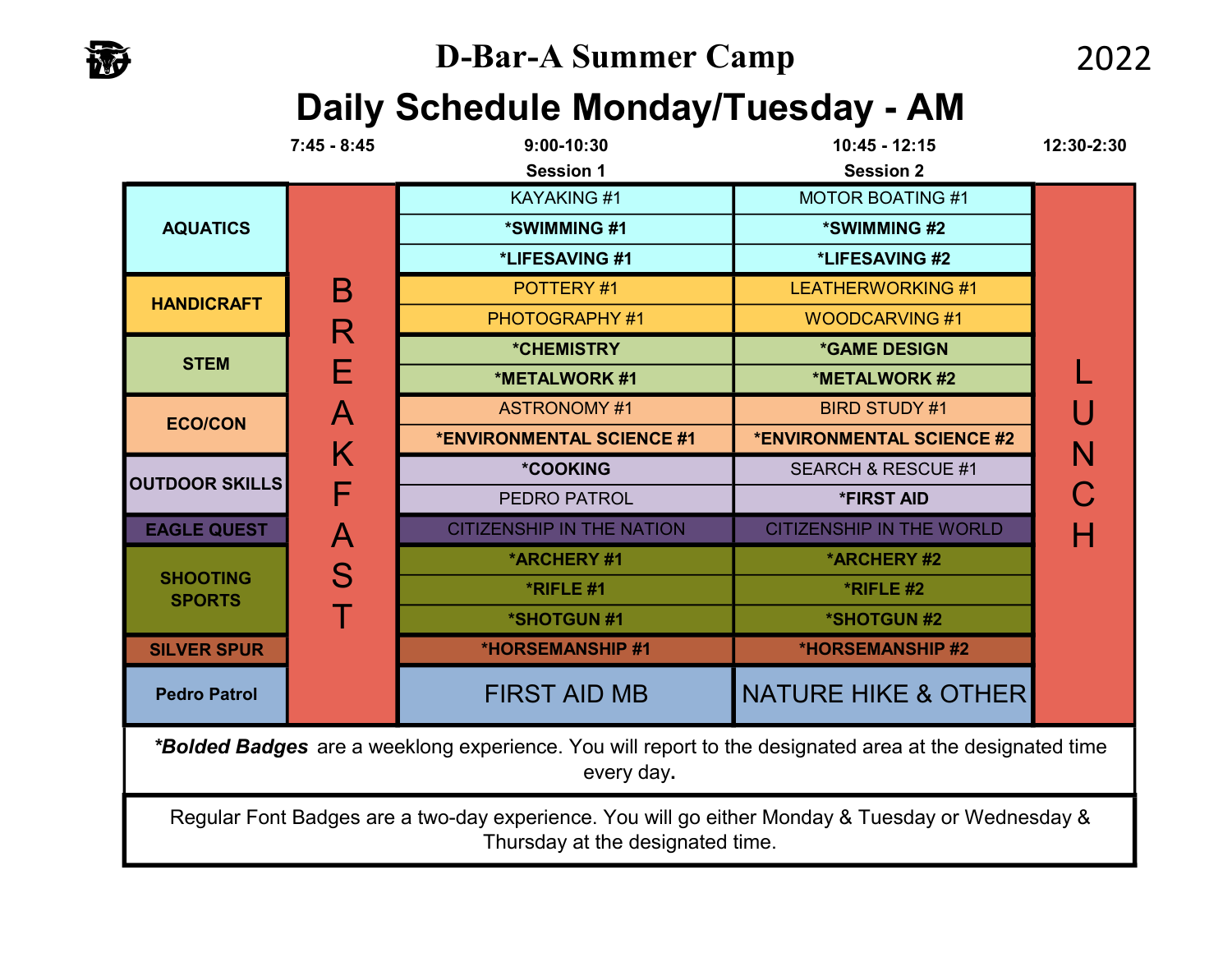# Daily Schedule Monday/Tuesday - AM

|                                                                                                                                      | $7:45 - 8:45$ | 9:00-10:30                       | $10:45 - 12:15$                 | 12:30-2:30 |
|--------------------------------------------------------------------------------------------------------------------------------------|---------------|----------------------------------|---------------------------------|------------|
|                                                                                                                                      |               | <b>Session 1</b>                 | <b>Session 2</b>                |            |
|                                                                                                                                      |               | <b>KAYAKING#1</b>                | <b>MOTOR BOATING #1</b>         |            |
| <b>AQUATICS</b>                                                                                                                      |               | *SWIMMING #1                     | *SWIMMING #2                    |            |
|                                                                                                                                      |               | *LIFESAVING #1                   | *LIFESAVING #2                  |            |
| <b>HANDICRAFT</b>                                                                                                                    | Β             | POTTERY #1                       | <b>LEATHERWORKING #1</b>        |            |
|                                                                                                                                      | R             | PHOTOGRAPHY #1                   | <b>WOODCARVING #1</b>           |            |
| <b>STEM</b>                                                                                                                          |               | <i><b>*CHEMISTRY</b></i>         | <b>*GAME DESIGN</b>             |            |
|                                                                                                                                      | F             | *METALWORK #1                    | *METALWORK #2                   |            |
| <b>ECO/CON</b>                                                                                                                       | A             | <b>ASTRONOMY #1</b>              | <b>BIRD STUDY #1</b>            |            |
|                                                                                                                                      | K             | *ENVIRONMENTAL SCIENCE #1        | *ENVIRONMENTAL SCIENCE #2       |            |
| <b>OUTDOOR SKILLS</b>                                                                                                                |               | <b>*COOKING</b>                  | <b>SEARCH &amp; RESCUE #1</b>   |            |
|                                                                                                                                      | F             | PEDRO PATROL                     | <b>*FIRST AID</b>               |            |
| <b>EAGLE QUEST</b>                                                                                                                   | Α             | <b>CITIZENSHIP IN THE NATION</b> | <b>CITIZENSHIP IN THE WORLD</b> |            |
|                                                                                                                                      | S             | *ARCHERY#1                       | *ARCHERY#2                      |            |
| <b>SHOOTING</b><br><b>SPORTS</b>                                                                                                     |               | *RIFLE #1                        | *RIFLE #2                       |            |
|                                                                                                                                      |               | *SHOTGUN #1                      | *SHOTGUN #2                     |            |
| <b>SILVER SPUR</b>                                                                                                                   |               | <b>*HORSEMANSHIP #1</b>          | <b>*HORSEMANSHIP #2</b>         |            |
| <b>Pedro Patrol</b>                                                                                                                  |               | <b>FIRST AID MB</b>              | <b>NATURE HIKE &amp; OTHER</b>  |            |
| *Bolded Badges are a weeklong experience. You will report to the designated area at the designated time<br>every day.                |               |                                  |                                 |            |
| Regular Font Badges are a two-day experience. You will go either Monday & Tuesday or Wednesday &<br>Thursday at the designated time. |               |                                  |                                 |            |

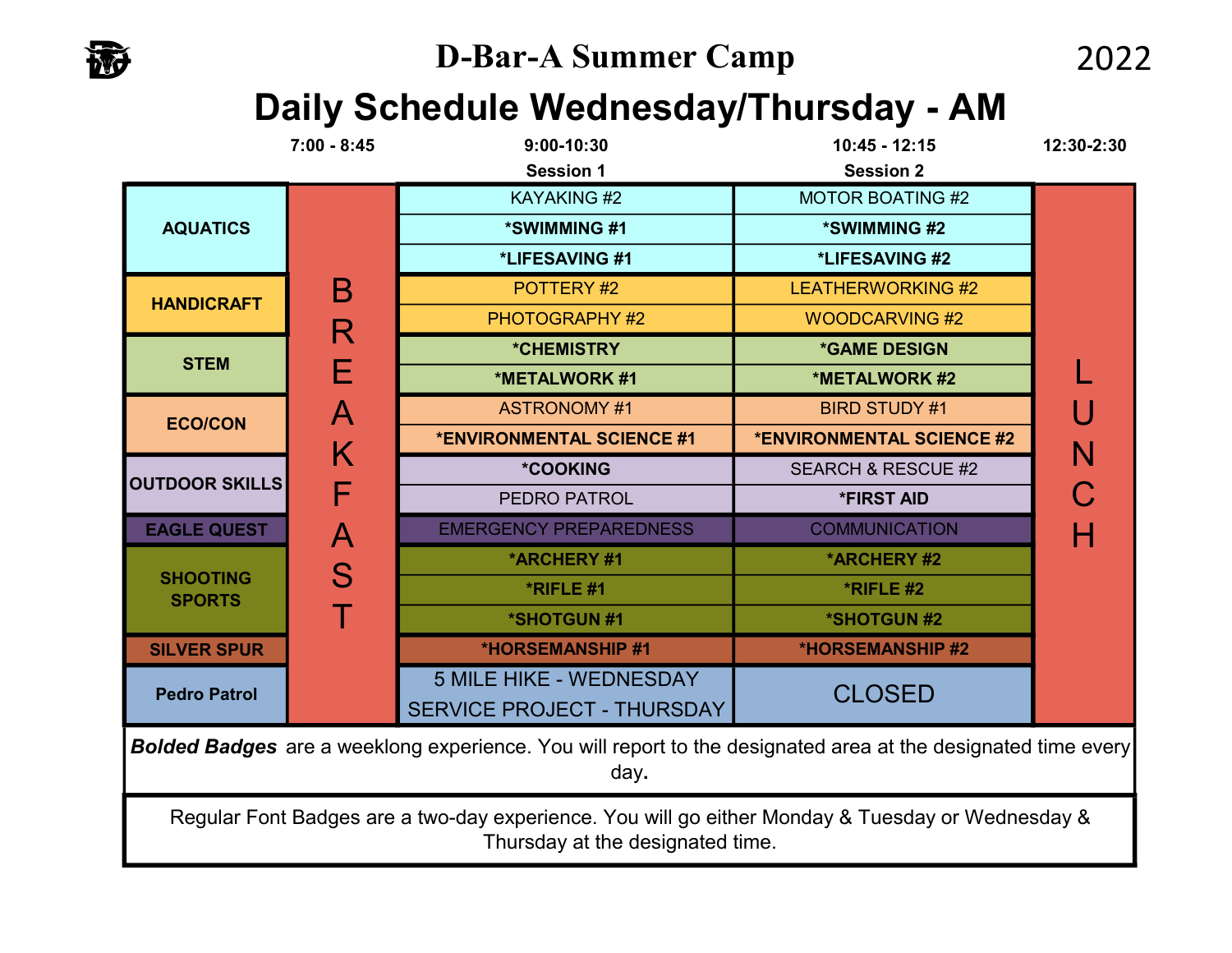

## Daily Schedule Wednesday/Thursday - AM

|                                                                                                                                      | $7:00 - 8:45$             | $9:00-10:30$<br><b>Session 1</b>                                    | $10:45 - 12:15$<br><b>Session 2</b> | 12:30-2:30 |
|--------------------------------------------------------------------------------------------------------------------------------------|---------------------------|---------------------------------------------------------------------|-------------------------------------|------------|
| <b>AQUATICS</b>                                                                                                                      |                           | <b>KAYAKING#2</b>                                                   | <b>MOTOR BOATING #2</b>             |            |
|                                                                                                                                      |                           | *SWIMMING #1                                                        | *SWIMMING #2                        |            |
|                                                                                                                                      | Β<br>R                    | *LIFESAVING #1                                                      | *LIFESAVING #2                      |            |
| <b>HANDICRAFT</b>                                                                                                                    |                           | POTTERY#2                                                           | <b>LEATHERWORKING #2</b>            |            |
|                                                                                                                                      |                           | <b>PHOTOGRAPHY #2</b>                                               | <b>WOODCARVING#2</b>                |            |
| <b>STEM</b>                                                                                                                          |                           | *CHEMISTRY                                                          | <b>*GAME DESIGN</b>                 |            |
|                                                                                                                                      | Е                         | *METALWORK #1                                                       | *METALWORK #2                       |            |
| <b>ECO/CON</b>                                                                                                                       | $\boldsymbol{\mathsf{A}}$ | <b>ASTRONOMY #1</b>                                                 | <b>BIRD STUDY #1</b>                |            |
|                                                                                                                                      | K                         | *ENVIRONMENTAL SCIENCE #1                                           | *ENVIRONMENTAL SCIENCE #2           | N          |
| <b>OUTDOOR SKILLS</b>                                                                                                                |                           | <b>*COOKING</b>                                                     | <b>SEARCH &amp; RESCUE #2</b>       |            |
|                                                                                                                                      | F                         | PEDRO PATROL                                                        | <b>*FIRST AID</b>                   |            |
| <b>EAGLE QUEST</b>                                                                                                                   | $\boldsymbol{\mathsf{A}}$ | <b>EMERGENCY PREPAREDNESS</b>                                       | <b>COMMUNICATION</b>                |            |
|                                                                                                                                      | S                         | *ARCHERY#1                                                          | *ARCHERY #2                         |            |
| <b>SHOOTING</b><br><b>SPORTS</b>                                                                                                     |                           | *RIFLE #1                                                           | *RIFLE #2                           |            |
|                                                                                                                                      |                           | *SHOTGUN #1                                                         | <b>*SHOTGUN#2</b>                   |            |
| <b>SILVER SPUR</b>                                                                                                                   |                           | <b>*HORSEMANSHIP #1</b>                                             | *HORSEMANSHIP #2                    |            |
| <b>Pedro Patrol</b>                                                                                                                  |                           | <b>5 MILE HIKE - WEDNESDAY</b><br><b>SERVICE PROJECT - THURSDAY</b> | <b>CLOSED</b>                       |            |
| <b>Bolded Badges</b> are a weeklong experience. You will report to the designated area at the designated time every<br>day.          |                           |                                                                     |                                     |            |
| Regular Font Badges are a two-day experience. You will go either Monday & Tuesday or Wednesday &<br>Thursday at the designated time. |                           |                                                                     |                                     |            |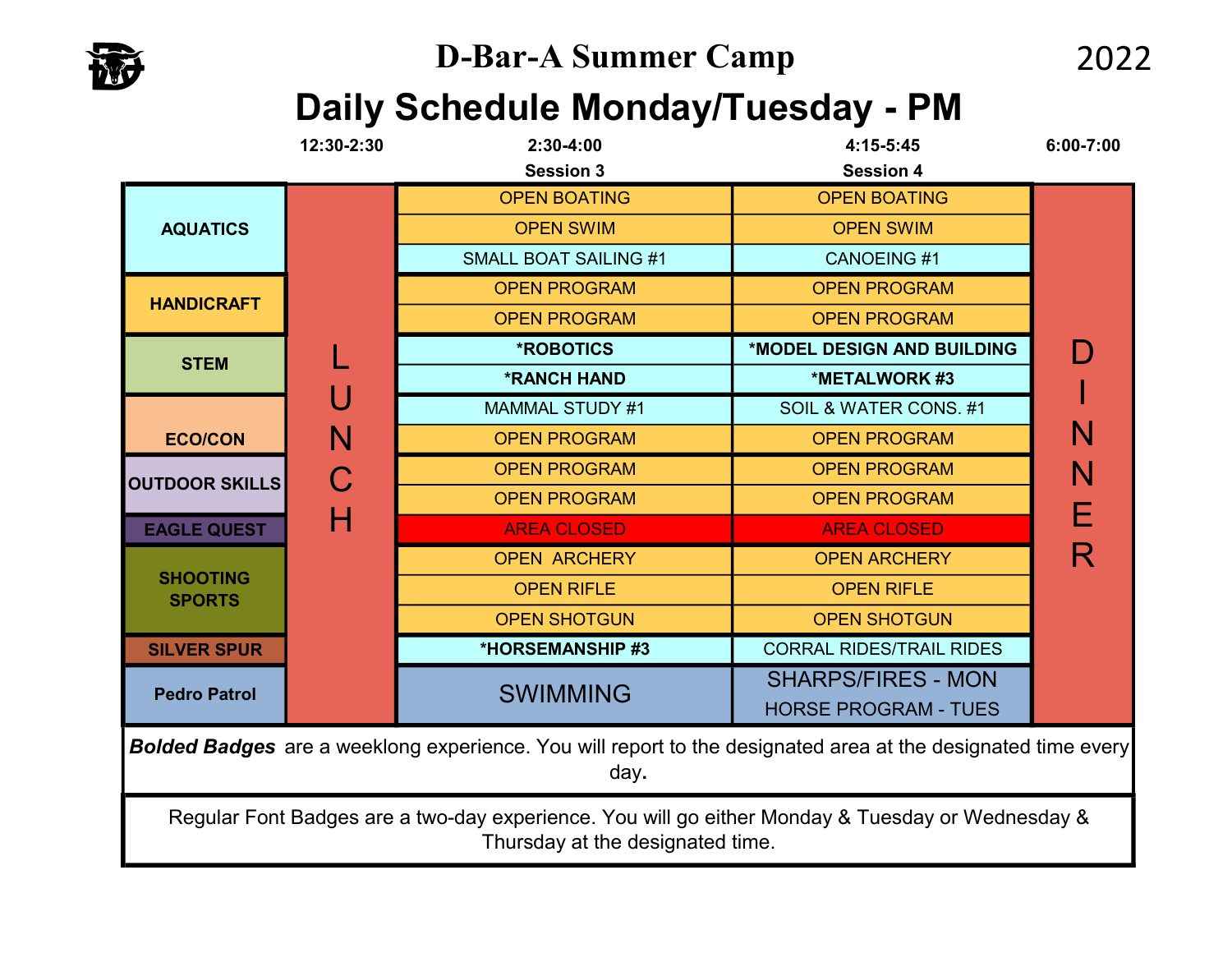# Daily Schedule Monday/Tuesday - PM

|                                                                                                                                      | 12:30-2:30 | 2:30-4:00                    | 4:15-5:45                       | 6:00-7:00           |   |
|--------------------------------------------------------------------------------------------------------------------------------------|------------|------------------------------|---------------------------------|---------------------|---|
|                                                                                                                                      |            | <b>Session 3</b>             | <b>Session 4</b>                |                     |   |
|                                                                                                                                      |            | <b>OPEN BOATING</b>          | <b>OPEN BOATING</b>             |                     |   |
| <b>AQUATICS</b>                                                                                                                      |            | <b>OPEN SWIM</b>             | <b>OPEN SWIM</b>                |                     |   |
|                                                                                                                                      |            | <b>SMALL BOAT SAILING #1</b> | <b>CANOEING#1</b>               |                     |   |
| <b>HANDICRAFT</b>                                                                                                                    |            | <b>OPEN PROGRAM</b>          | <b>OPEN PROGRAM</b>             |                     |   |
|                                                                                                                                      |            | <b>OPEN PROGRAM</b>          | <b>OPEN PROGRAM</b>             |                     |   |
| <b>STEM</b>                                                                                                                          |            | <b>*ROBOTICS</b>             | *MODEL DESIGN AND BUILDING      |                     |   |
|                                                                                                                                      |            | <b>*RANCH HAND</b>           | *METALWORK #3                   |                     |   |
|                                                                                                                                      |            | <b>MAMMAL STUDY #1</b>       | SOIL & WATER CONS. #1           |                     |   |
| <b>ECO/CON</b>                                                                                                                       | N<br>Н     | <b>OPEN PROGRAM</b>          | <b>OPEN PROGRAM</b>             | N                   |   |
| <b>OUTDOOR SKILLS</b>                                                                                                                |            | <b>OPEN PROGRAM</b>          | <b>OPEN PROGRAM</b>             | N                   |   |
|                                                                                                                                      |            | <b>OPEN PROGRAM</b>          | <b>OPEN PROGRAM</b>             | Е                   |   |
| <b>EAGLE QUEST</b>                                                                                                                   |            | <b>AREA CLOSED</b>           | <b>AREA CLOSED</b>              |                     |   |
|                                                                                                                                      |            |                              | <b>OPEN ARCHERY</b>             | <b>OPEN ARCHERY</b> | R |
| <b>SHOOTING</b><br><b>SPORTS</b>                                                                                                     |            | <b>OPEN RIFLE</b>            | <b>OPEN RIFLE</b>               |                     |   |
|                                                                                                                                      |            | <b>OPEN SHOTGUN</b>          | <b>OPEN SHOTGUN</b>             |                     |   |
| <b>SILVER SPUR</b>                                                                                                                   |            | *HORSEMANSHIP #3             | <b>CORRAL RIDES/TRAIL RIDES</b> |                     |   |
| <b>Pedro Patrol</b>                                                                                                                  |            | <b>SWIMMING</b>              | <b>SHARPS/FIRES - MON</b>       |                     |   |
|                                                                                                                                      |            |                              | <b>HORSE PROGRAM - TUES</b>     |                     |   |
| <b>Bolded Badges</b> are a weeklong experience. You will report to the designated area at the designated time every<br>day.          |            |                              |                                 |                     |   |
| Regular Font Badges are a two-day experience. You will go either Monday & Tuesday or Wednesday &<br>Thursday at the designated time. |            |                              |                                 |                     |   |